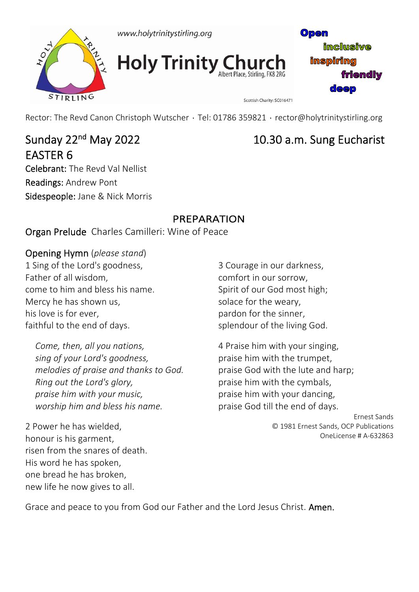

# **Holy Trinity Church**

# Open **inclusive inspiring friendly** deep

Scottish Charity: SC016471

Rector: The Revd Canon Christoph Wutscher · Tel: 01786 359821 · rector@holytrinitystirling.org

# Sunday 22nd May 2022 10.30 a.m. Sung Eucharist EASTER 6

Celebrant: The Revd Val Nellist Readings: Andrew Pont Sidespeople: Jane & Nick Morris

# PREPARATION

Organ Prelude Charles Camilleri: Wine of Peace

#### Opening Hymn (*please stand*)

1 Sing of the Lord's goodness, Father of all wisdom, come to him and bless his name. Mercy he has shown us, his love is for ever, faithful to the end of days.

*Come, then, all you nations, sing of your Lord's goodness, melodies of praise and thanks to God. Ring out the Lord's glory, praise him with your music, worship him and bless his name.* 

2 Power he has wielded, honour is his garment, risen from the snares of death. His word he has spoken, one bread he has broken, new life he now gives to all.

3 Courage in our darkness, comfort in our sorrow, Spirit of our God most high; solace for the weary, pardon for the sinner, splendour of the living God.

4 Praise him with your singing, praise him with the trumpet, praise God with the lute and harp; praise him with the cymbals, praise him with your dancing, praise God till the end of days.

> Ernest Sands © 1981 Ernest Sands, OCP Publications OneLicense # A‐632863

Grace and peace to you from God our Father and the Lord Jesus Christ. Amen.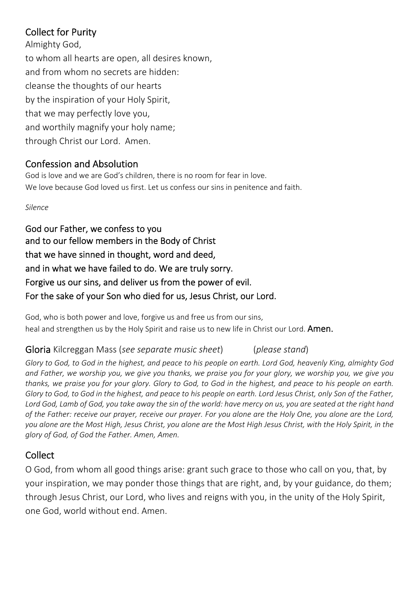# Collect for Purity

Almighty God, to whom all hearts are open, all desires known, and from whom no secrets are hidden: cleanse the thoughts of our hearts by the inspiration of your Holy Spirit, that we may perfectly love you, and worthily magnify your holy name; through Christ our Lord. Amen.

### Confession and Absolution

God is love and we are God's children, there is no room for fear in love. We love because God loved us first. Let us confess our sins in penitence and faith.

#### *Silence*

God our Father, we confess to you and to our fellow members in the Body of Christ that we have sinned in thought, word and deed, and in what we have failed to do. We are truly sorry. Forgive us our sins, and deliver us from the power of evil. For the sake of your Son who died for us, Jesus Christ, our Lord.

God, who is both power and love, forgive us and free us from our sins, heal and strengthen us by the Holy Spirit and raise us to new life in Christ our Lord. Amen.

#### Gloria Kilcreggan Mass (*see separate music sheet*) (*please stand*)

*Glory to God, to God in the highest, and peace to his people on earth. Lord God, heavenly King, almighty God and Father, we worship you, we give you thanks, we praise you for your glory, we worship you, we give you thanks, we praise you for your glory. Glory to God, to God in the highest, and peace to his people on earth. Glory to God, to God in the highest, and peace to his people on earth. Lord Jesus Christ, only Son of the Father, Lord God, Lamb of God, you take away the sin of the world: have mercy on us, you are seated at the right hand of the Father: receive our prayer, receive our prayer. For you alone are the Holy One, you alone are the Lord, you alone are the Most High, Jesus Christ, you alone are the Most High Jesus Christ, with the Holy Spirit, in the glory of God, of God the Father. Amen, Amen.*

# Collect

O God, from whom all good things arise: grant such grace to those who call on you, that, by your inspiration, we may ponder those things that are right, and, by your guidance, do them; through Jesus Christ, our Lord, who lives and reigns with you, in the unity of the Holy Spirit, one God, world without end. Amen.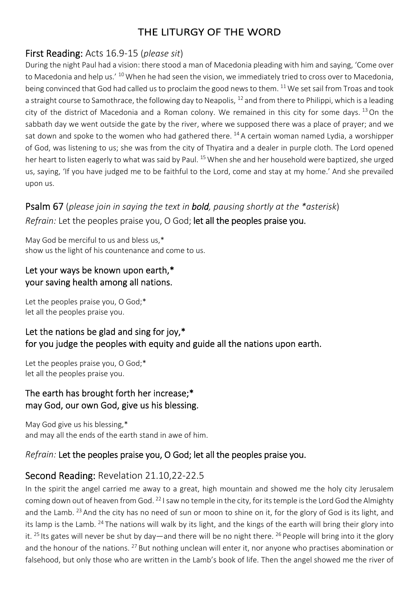# THE LITURGY OF THE WORD

#### First Reading: Acts 16.9‐15 (*please sit*)

During the night Paul had a vision: there stood a man of Macedonia pleading with him and saying, 'Come over to Macedonia and help us.<sup>' 10</sup> When he had seen the vision, we immediately tried to cross over to Macedonia, being convinced that God had called us to proclaim the good news to them. <sup>11</sup> We set sail from Troas and took a straight course to Samothrace, the following day to Neapolis,  $^{12}$  and from there to Philippi, which is a leading city of the district of Macedonia and a Roman colony. We remained in this city for some days.  $^{13}$  On the sabbath day we went outside the gate by the river, where we supposed there was a place of prayer; and we sat down and spoke to the women who had gathered there.  $^{14}$  A certain woman named Lydia, a worshipper of God, was listening to us; she was from the city of Thyatira and a dealer in purple cloth. The Lord opened her heart to listen eagerly to what was said by Paul. 15 When she and her household were baptized, she urged us, saying, 'If you have judged me to be faithful to the Lord, come and stay at my home.' And she prevailed upon us.

# Psalm 67 (*please join in saying the text in bold, pausing shortly at the \*asterisk*) *Refrain:* Let the peoples praise you, O God; let all the peoples praise you.

May God be merciful to us and bless us,\* show us the light of his countenance and come to us.

#### Let your ways be known upon earth,\* your saving health among all nations.

Let the peoples praise you, O God;\* let all the peoples praise you.

#### Let the nations be glad and sing for joy,\* for you judge the peoples with equity and guide all the nations upon earth.

Let the peoples praise you, O God;\* let all the peoples praise you.

#### The earth has brought forth her increase;\* may God, our own God, give us his blessing.

May God give us his blessing,\* and may all the ends of the earth stand in awe of him.

#### *Refrain:* Let the peoples praise you, O God; let all the peoples praise you.

#### Second Reading: Revelation 21.10,22‐22.5

In the spirit the angel carried me away to a great, high mountain and showed me the holy city Jerusalem coming down out of heaven from God. 22 I saw no temple in the city, for its temple is the Lord God the Almighty and the Lamb. <sup>23</sup> And the city has no need of sun or moon to shine on it, for the glory of God is its light, and its lamp is the Lamb. 24 The nations will walk by its light, and the kings of the earth will bring their glory into it. <sup>25</sup> Its gates will never be shut by day—and there will be no night there. <sup>26</sup> People will bring into it the glory and the honour of the nations. <sup>27</sup> But nothing unclean will enter it, nor anyone who practises abomination or falsehood, but only those who are written in the Lamb's book of life. Then the angel showed me the river of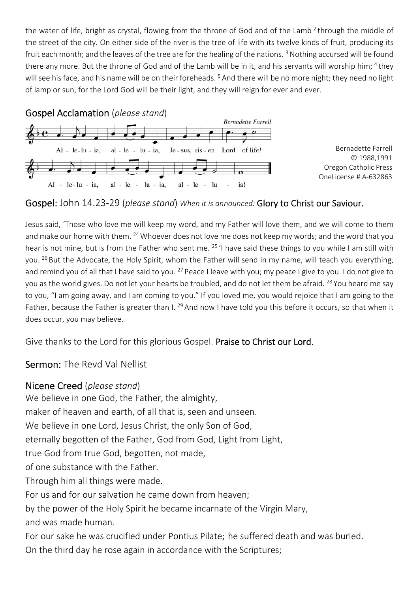the water of life, bright as crystal, flowing from the throne of God and of the Lamb<sup>2</sup> through the middle of the street of the city. On either side of the river is the tree of life with its twelve kinds of fruit, producing its fruit each month; and the leaves of the tree are for the healing of the nations.<sup>3</sup> Nothing accursed will be found there any more. But the throne of God and of the Lamb will be in it, and his servants will worship him; <sup>4</sup> they will see his face, and his name will be on their foreheads.<sup>5</sup> And there will be no more night; they need no light of lamp or sun, for the Lord God will be their light, and they will reign for ever and ever.



#### Gospel: John 14.23‐29 (*please stand*) *When it is announced:* Glory to Christ our Saviour.

Jesus said, 'Those who love me will keep my word, and my Father will love them, and we will come to them and make our home with them. <sup>24</sup> Whoever does not love me does not keep my words; and the word that you hear is not mine, but is from the Father who sent me. <sup>25</sup> 'I have said these things to you while I am still with you. 26 But the Advocate, the Holy Spirit, whom the Father will send in my name, will teach you everything, and remind you of all that I have said to you. <sup>27</sup> Peace I leave with you; my peace I give to you. I do not give to you as the world gives. Do not let your hearts be troubled, and do not let them be afraid. <sup>28</sup> You heard me say to you, "I am going away, and I am coming to you." If you loved me, you would rejoice that I am going to the Father, because the Father is greater than I.<sup>29</sup> And now I have told you this before it occurs, so that when it does occur, you may believe.

Give thanks to the Lord for this glorious Gospel. Praise to Christ our Lord.

#### Sermon: The Revd Val Nellist

#### Nicene Creed (*please stand*)

We believe in one God, the Father, the almighty, maker of heaven and earth, of all that is, seen and unseen. We believe in one Lord, Jesus Christ, the only Son of God, eternally begotten of the Father, God from God, Light from Light, true God from true God, begotten, not made, of one substance with the Father. Through him all things were made. For us and for our salvation he came down from heaven; by the power of the Holy Spirit he became incarnate of the Virgin Mary, and was made human. For our sake he was crucified under Pontius Pilate; he suffered death and was buried. On the third day he rose again in accordance with the Scriptures;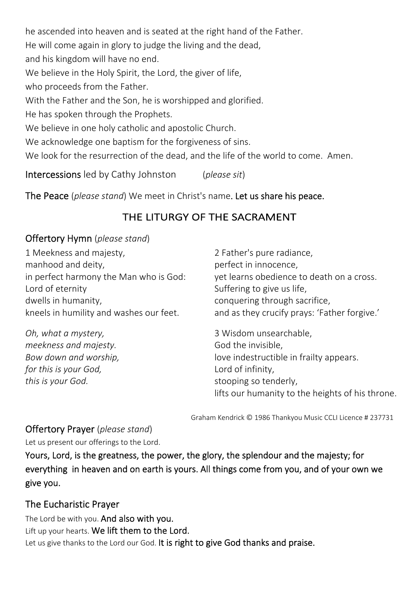he ascended into heaven and is seated at the right hand of the Father. He will come again in glory to judge the living and the dead, and his kingdom will have no end. We believe in the Holy Spirit, the Lord, the giver of life, who proceeds from the Father. With the Father and the Son, he is worshipped and glorified. He has spoken through the Prophets. We believe in one holy catholic and apostolic Church. We acknowledge one baptism for the forgiveness of sins. We look for the resurrection of the dead, and the life of the world to come. Amen.

Intercessions led by Cathy Johnston (*please sit*)

The Peace (*please stand*) We meet in Christ's name.Let us share his peace.

# THE LITURGY OF THE SACRAMENT

### Offertory Hymn (*please stand*)

1 Meekness and majesty, manhood and deity, in perfect harmony the Man who is God: Lord of eternity dwells in humanity, kneels in humility and washes our feet. *Oh, what a mystery, meekness and majesty. Bow down and worship, for this is your God, this is your God.*  2 Father's pure radiance, perfect in innocence, yet learns obedience to death on a cross. Suffering to give us life, conquering through sacrifice, and as they crucify prays: 'Father forgive.' 3 Wisdom unsearchable, God the invisible, love indestructible in frailty appears. Lord of infinity, stooping so tenderly,

lifts our humanity to the heights of his throne.

Graham Kendrick © 1986 Thankyou Music CCLI Licence # 237731

# Offertory Prayer (*please stand*)

Let us present our offerings to the Lord.

Yours, Lord, is the greatness, the power, the glory, the splendour and the majesty; for everything in heaven and on earth is yours. All things come from you, and of your own we give you.

# The Eucharistic Prayer

The Lord be with you. And also with you. Lift up your hearts. We lift them to the Lord. Let us give thanks to the Lord our God. It is right to give God thanks and praise.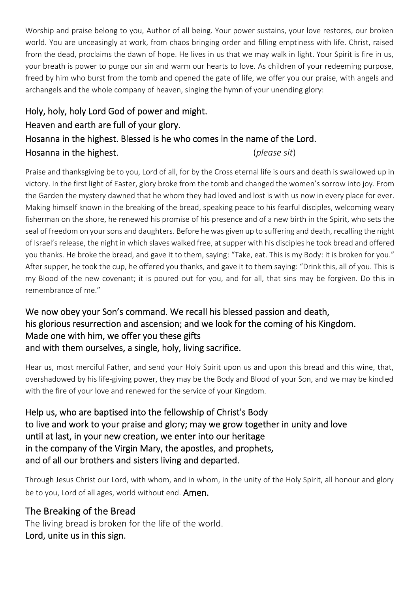Worship and praise belong to you, Author of all being. Your power sustains, your love restores, our broken world. You are unceasingly at work, from chaos bringing order and filling emptiness with life. Christ, raised from the dead, proclaims the dawn of hope. He lives in us that we may walk in light. Your Spirit is fire in us, your breath is power to purge our sin and warm our hearts to love. As children of your redeeming purpose, freed by him who burst from the tomb and opened the gate of life, we offer you our praise, with angels and archangels and the whole company of heaven, singing the hymn of your unending glory:

# Holy, holy, holy Lord God of power and might. Heaven and earth are full of your glory. Hosanna in the highest. Blessed is he who comes in the name of the Lord. Hosanna in the highest. (*please sit*)

Praise and thanksgiving be to you, Lord of all, for by the Cross eternal life is ours and death is swallowed up in victory. In the first light of Easter, glory broke from the tomb and changed the women's sorrow into joy. From the Garden the mystery dawned that he whom they had loved and lost is with us now in every place for ever. Making himself known in the breaking of the bread, speaking peace to his fearful disciples, welcoming weary fisherman on the shore, he renewed his promise of his presence and of a new birth in the Spirit, who sets the seal of freedom on your sons and daughters. Before he was given up to suffering and death, recalling the night of Israel's release, the night in which slaves walked free, at supper with his disciples he took bread and offered you thanks. He broke the bread, and gave it to them, saying: "Take, eat. This is my Body: it is broken for you." After supper, he took the cup, he offered you thanks, and gave it to them saying: "Drink this, all of you. This is my Blood of the new covenant; it is poured out for you, and for all, that sins may be forgiven. Do this in remembrance of me."

#### We now obey your Son's command. We recall his blessed passion and death, his glorious resurrection and ascension; and we look for the coming of his Kingdom. Made one with him, we offer you these gifts and with them ourselves, a single, holy, living sacrifice.

Hear us, most merciful Father, and send your Holy Spirit upon us and upon this bread and this wine, that, overshadowed by his life‐giving power, they may be the Body and Blood of your Son, and we may be kindled with the fire of your love and renewed for the service of your Kingdom.

Help us, who are baptised into the fellowship of Christ's Body to live and work to your praise and glory; may we grow together in unity and love until at last, in your new creation, we enter into our heritage in the company of the Virgin Mary, the apostles, and prophets, and of all our brothers and sisters living and departed.

Through Jesus Christ our Lord, with whom, and in whom, in the unity of the Holy Spirit, all honour and glory be to you, Lord of all ages, world without end. **Amen.** 

#### The Breaking of the Bread

The living bread is broken for the life of the world. Lord, unite us in this sign.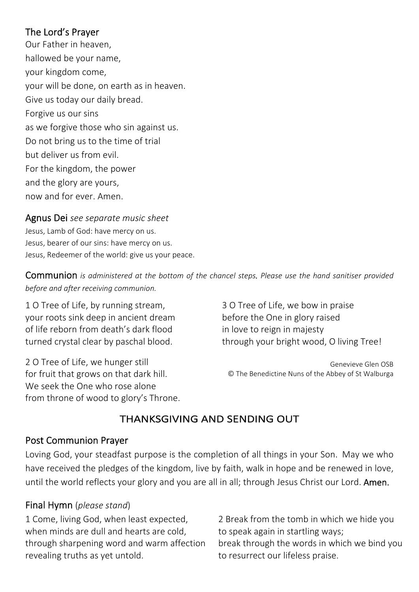#### The Lord's Prayer

Our Father in heaven, hallowed be your name, your kingdom come, your will be done, on earth as in heaven. Give us today our daily bread. Forgive us our sins as we forgive those who sin against us. Do not bring us to the time of trial but deliver us from evil. For the kingdom, the power and the glory are yours, now and for ever. Amen.

#### Agnus Dei *see separate music sheet*

Jesus, Lamb of God: have mercy on us. Jesus, bearer of our sins: have mercy on us. Jesus, Redeemer of the world: give us your peace.

Communion *is administered at the bottom of the chancel steps. Please use the hand sanitiser provided before and after receiving communion.* 

1 O Tree of Life, by running stream, your roots sink deep in ancient dream of life reborn from death's dark flood turned crystal clear by paschal blood.

2 O Tree of Life, we hunger still for fruit that grows on that dark hill. We seek the One who rose alone from throne of wood to glory's Throne. 3 O Tree of Life, we bow in praise before the One in glory raised in love to reign in majesty through your bright wood, O living Tree!

Genevieve Glen OSB © The Benedictine Nuns of the Abbey of St Walburga

# THANKSGIVING AND SENDING OUT

#### Post Communion Prayer

Loving God, your steadfast purpose is the completion of all things in your Son. May we who have received the pledges of the kingdom, live by faith, walk in hope and be renewed in love, until the world reflects your glory and you are all in all; through Jesus Christ our Lord. Amen.

#### Final Hymn (*please stand*)

1 Come, living God, when least expected, when minds are dull and hearts are cold, through sharpening word and warm affection revealing truths as yet untold.

2 Break from the tomb in which we hide you to speak again in startling ways; break through the words in which we bind you to resurrect our lifeless praise.